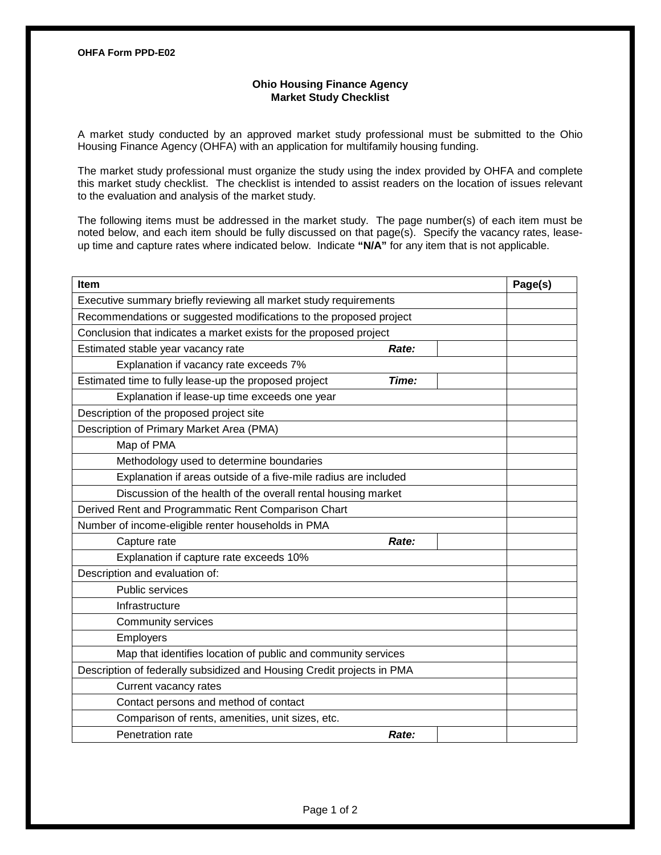## **Ohio Housing Finance Agency Market Study Checklist**

A market study conducted by an approved market study professional must be submitted to the Ohio Housing Finance Agency (OHFA) with an application for multifamily housing funding.

The market study professional must organize the study using the index provided by OHFA and complete this market study checklist. The checklist is intended to assist readers on the location of issues relevant to the evaluation and analysis of the market study.

The following items must be addressed in the market study. The page number(s) of each item must be noted below, and each item should be fully discussed on that page(s). Specify the vacancy rates, leaseup time and capture rates where indicated below. Indicate **"N/A"** for any item that is not applicable.

| Item                                                                   |       | Page(s) |
|------------------------------------------------------------------------|-------|---------|
| Executive summary briefly reviewing all market study requirements      |       |         |
| Recommendations or suggested modifications to the proposed project     |       |         |
| Conclusion that indicates a market exists for the proposed project     |       |         |
| Estimated stable year vacancy rate                                     | Rate: |         |
| Explanation if vacancy rate exceeds 7%                                 |       |         |
| Estimated time to fully lease-up the proposed project                  | Time: |         |
| Explanation if lease-up time exceeds one year                          |       |         |
| Description of the proposed project site                               |       |         |
| Description of Primary Market Area (PMA)                               |       |         |
| Map of PMA                                                             |       |         |
| Methodology used to determine boundaries                               |       |         |
| Explanation if areas outside of a five-mile radius are included        |       |         |
| Discussion of the health of the overall rental housing market          |       |         |
| Derived Rent and Programmatic Rent Comparison Chart                    |       |         |
| Number of income-eligible renter households in PMA                     |       |         |
| Capture rate                                                           | Rate: |         |
| Explanation if capture rate exceeds 10%                                |       |         |
| Description and evaluation of:                                         |       |         |
| Public services                                                        |       |         |
| Infrastructure                                                         |       |         |
| Community services                                                     |       |         |
| Employers                                                              |       |         |
| Map that identifies location of public and community services          |       |         |
| Description of federally subsidized and Housing Credit projects in PMA |       |         |
| Current vacancy rates                                                  |       |         |
| Contact persons and method of contact                                  |       |         |
| Comparison of rents, amenities, unit sizes, etc.                       |       |         |
| Penetration rate                                                       | Rate: |         |